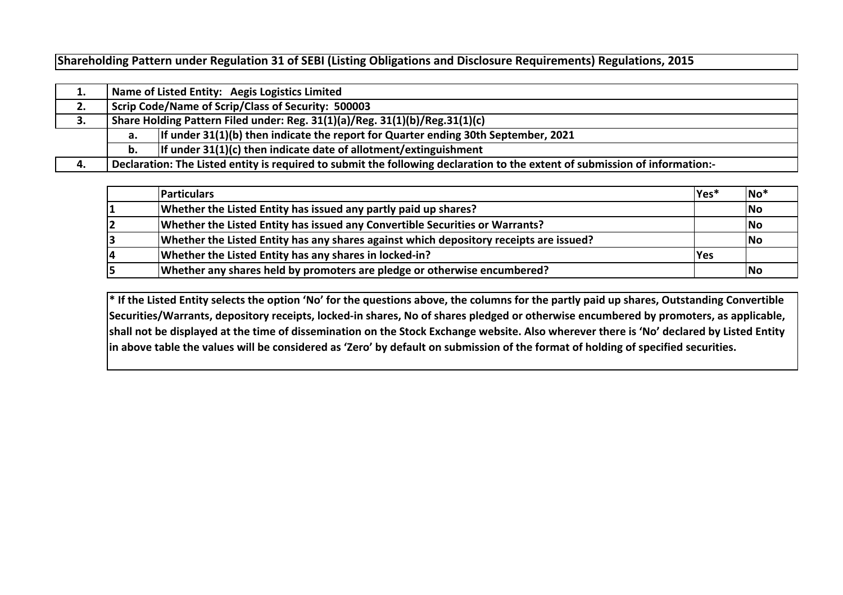**Shareholding Pattern under Regulation 31 of SEBI (Listing Obligations and Disclosure Requirements) Regulations, 2015**

| ᆂ. |                                                                                            | Name of Listed Entity: Aegis Logistics Limited                                                                              |  |  |  |  |  |  |  |  |  |  |  |
|----|--------------------------------------------------------------------------------------------|-----------------------------------------------------------------------------------------------------------------------------|--|--|--|--|--|--|--|--|--|--|--|
| 2. |                                                                                            | Scrip Code/Name of Scrip/Class of Security: 500003                                                                          |  |  |  |  |  |  |  |  |  |  |  |
| 3. |                                                                                            | Share Holding Pattern Filed under: Reg. 31(1)(a)/Reg. 31(1)(b)/Reg.31(1)(c)                                                 |  |  |  |  |  |  |  |  |  |  |  |
|    | If under $31(1)(b)$ then indicate the report for Quarter ending 30th September, 2021<br>а. |                                                                                                                             |  |  |  |  |  |  |  |  |  |  |  |
|    | If under $31(1)(c)$ then indicate date of allotment/extinguishment<br>b.                   |                                                                                                                             |  |  |  |  |  |  |  |  |  |  |  |
| 4. |                                                                                            | Declaration: The Listed entity is required to submit the following declaration to the extent of submission of information:- |  |  |  |  |  |  |  |  |  |  |  |

|    | <b>Particulars</b>                                                                     | Yes*       | $ No*$    |
|----|----------------------------------------------------------------------------------------|------------|-----------|
|    | Whether the Listed Entity has issued any partly paid up shares?                        |            | <b>No</b> |
|    | Whether the Listed Entity has issued any Convertible Securities or Warrants?           |            | No        |
|    | Whether the Listed Entity has any shares against which depository receipts are issued? |            | <b>No</b> |
| 14 | Whether the Listed Entity has any shares in locked-in?                                 | <b>Yes</b> |           |
|    | Whether any shares held by promoters are pledge or otherwise encumbered?               |            | <b>No</b> |

**\* If the Listed Entity selects the option 'No' for the questions above, the columns for the partly paid up shares, Outstanding Convertible Securities/Warrants, depository receipts, locked-in shares, No of shares pledged or otherwise encumbered by promoters, as applicable, shall not be displayed at the time of dissemination on the Stock Exchange website. Also wherever there is 'No' declared by Listed Entity in above table the values will be considered as 'Zero' by default on submission of the format of holding of specified securities.**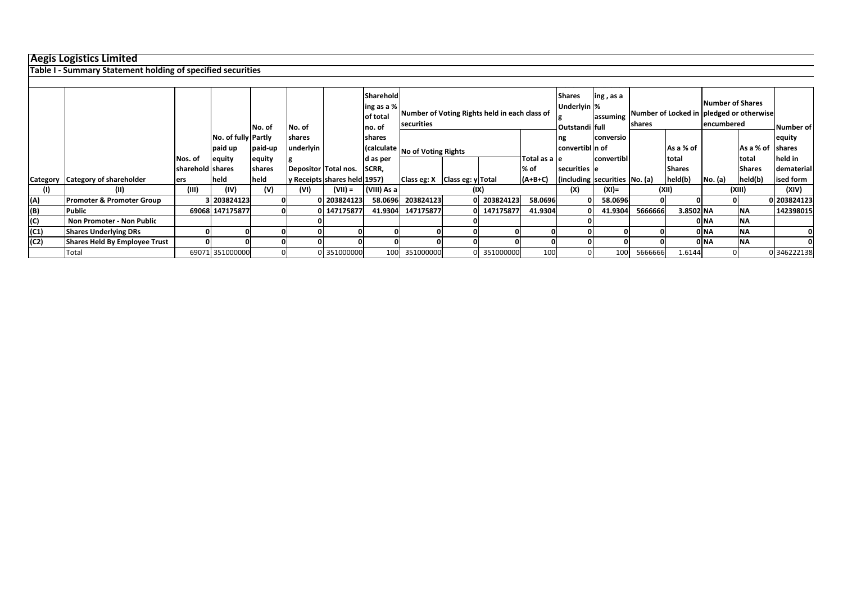## **Aegis Logistics Limited**

**Table I - Summary Statement holding of specified securities**

|          |                                      |                  |                     | No. of  | No. of        |                              | Sharehold<br>ing as a %<br>of total<br>no. of | securities                            |  | Number of Voting Rights held in each class of |               | <b>Shares</b><br>Underlyin %<br>Outstandi full | ing, as a<br>assuming | shares  | Number of Locked in pledged or otherwise |         | <b>Number of Shares</b><br>lencumbered | Number of   |
|----------|--------------------------------------|------------------|---------------------|---------|---------------|------------------------------|-----------------------------------------------|---------------------------------------|--|-----------------------------------------------|---------------|------------------------------------------------|-----------------------|---------|------------------------------------------|---------|----------------------------------------|-------------|
|          |                                      |                  | No. of fully Partly |         | <b>shares</b> |                              | <b>Ishares</b>                                |                                       |  |                                               |               | ng                                             | conversio             |         |                                          |         |                                        | equity      |
|          |                                      |                  | paid up             | paid-up | underlyin     |                              |                                               | (calculate No of Voting Rights        |  |                                               |               | convertibl n of                                |                       |         | As a % of                                |         | As a % of shares                       |             |
|          |                                      | Nos. of          | equity              | equity  |               |                              | d as per                                      |                                       |  |                                               | Total as a le |                                                | convertibl            |         | total                                    |         | Itotal                                 | held in     |
|          |                                      | sharehold shares |                     | shares  |               | Depositor Total nos.         | SCRR,                                         |                                       |  |                                               | % of          | securities le                                  |                       |         | <b>Shares</b>                            |         | <b>Shares</b>                          | dematerial  |
| Category | Category of shareholder              | lers             | held                | held    |               | y Receipts shares held 1957) |                                               | Class eg: $X$   Class eg: $y$   Total |  |                                               | $(A+B+C)$     | (including securities No. (a)                  |                       |         | held(b)                                  | No. (a) | held(b)                                | ised form   |
| (1)      | (II)                                 | (III)            | (IV)                | (V)     | (VI)          | $(VII) =$                    | (VIII) As a                                   |                                       |  | (IX)                                          | (X)           |                                                | $(XI) =$              | (XII)   |                                          | (XIII)  |                                        | (XIV)       |
| (A)      | <b>Promoter &amp; Promoter Group</b> |                  | 3 203824123         |         |               | 203824123                    |                                               | 58.0696 203824123                     |  | 0 203824123                                   | 58.0696       |                                                | 58.0696               |         |                                          |         |                                        | 0 203824123 |
| (B)      | <b>Public</b>                        |                  | 69068 147175877     |         |               | 147175877                    |                                               | 41.9304 147175877                     |  | 0 147175877                                   | 41.9304       |                                                | 41.9304               | 5666666 | 3.8502 NA                                |         | <b>INA</b>                             | 142398015   |
| (C)      | Non Promoter - Non Public            |                  |                     |         |               |                              |                                               |                                       |  |                                               |               |                                                |                       |         |                                          | 0 NA    | <b>NA</b>                              |             |
| (C1)     | <b>Shares Underlying DRs</b>         |                  |                     |         |               |                              |                                               |                                       |  |                                               |               |                                                |                       |         |                                          | 0 NA    | <b>INA</b>                             |             |
| (C2)     | Shares Held By Employee Trust        |                  |                     |         |               |                              |                                               |                                       |  |                                               |               |                                                |                       |         |                                          | 0 NA    | <b>NA</b>                              |             |
|          | Total                                |                  | 69071 351000000     | 0       |               | 0 351000000                  |                                               | 100 351000000                         |  | 0 351000000                                   | 100           |                                                | 100                   | 5666666 | 1.6144                                   |         |                                        | 0 346222138 |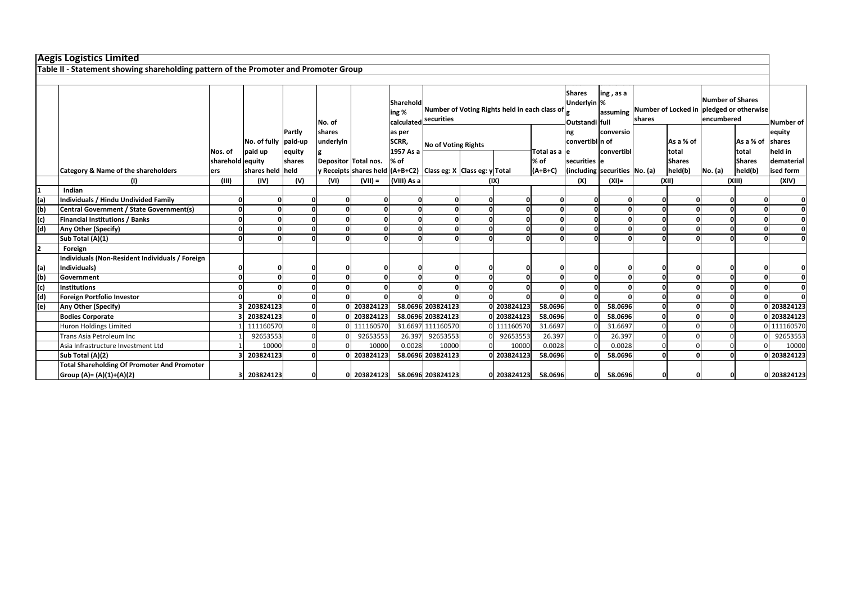|               | <b>Aegis Logistics Limited</b>                                                       |                  |                      |        |                      |           |                    |                                                                        |                                                |                       |               |                                          |                                       |           |               |         |                  |             |
|---------------|--------------------------------------------------------------------------------------|------------------|----------------------|--------|----------------------|-----------|--------------------|------------------------------------------------------------------------|------------------------------------------------|-----------------------|---------------|------------------------------------------|---------------------------------------|-----------|---------------|---------|------------------|-------------|
|               | Table II - Statement showing shareholding pattern of the Promoter and Promoter Group |                  |                      |        |                      |           |                    |                                                                        |                                                |                       |               |                                          |                                       |           |               |         |                  |             |
|               |                                                                                      |                  |                      |        |                      |           |                    |                                                                        |                                                |                       |               |                                          |                                       |           |               |         |                  |             |
|               |                                                                                      |                  |                      |        | No. of               |           | Sharehold<br>ing % | Number of Voting Rights held in each class of<br>calculated securities | <b>Shares</b><br>Underlyin %<br>Outstandi full | ing, as a<br>assuming | shares        | Number of Locked in pledged or otherwise | <b>Number of Shares</b><br>encumbered | Number of |               |         |                  |             |
|               |                                                                                      |                  |                      | Partly | shares               |           | as per             |                                                                        |                                                |                       |               | ng                                       | conversio                             |           |               |         |                  | equity      |
|               |                                                                                      |                  | No. of fully paid-up |        | underlyin            |           | SCRR,              | <b>No of Voting Rights</b>                                             |                                                |                       |               | convertibl n of                          |                                       |           | As a % of     |         | As a % of shares |             |
|               |                                                                                      | Nos. of          | paid up              | equity |                      |           | 1957 As a          |                                                                        |                                                |                       | Total as a le |                                          | convertibl                            |           | total         |         | total            | held in     |
|               |                                                                                      | sharehold equity |                      | shares | Depositor Total nos. |           | % of               |                                                                        |                                                |                       | % of          | securities e                             |                                       |           | <b>Shares</b> |         | <b>Shares</b>    | dematerial  |
|               | Category & Name of the shareholders                                                  | ers              | shares held held     |        |                      |           |                    | y Receipts shares held (A+B+C2) Class eg: X Class eg: y Total          |                                                |                       | $(A+B+C)$     |                                          | (including securities No. (a)         |           | held(b)       | No. (a) | held(b)          | ised form   |
|               | (1)                                                                                  | (III)            | (IV)                 | (V)    | (VI)                 | $(VII) =$ | (VIII) As a        |                                                                        |                                                | (IX)                  |               | (X)                                      | $(XI) =$                              |           | (XII)         |         | (XIII)           | (XIV)       |
|               | Indian                                                                               |                  |                      |        |                      |           |                    |                                                                        |                                                |                       |               |                                          |                                       |           |               |         |                  |             |
| (a)           | Individuals / Hindu Undivided Family                                                 |                  |                      |        |                      |           |                    | O                                                                      |                                                |                       |               |                                          |                                       |           |               |         |                  |             |
| $\frac{1}{2}$ | Central Government / State Government(s)                                             |                  |                      |        |                      |           |                    | $\Omega$                                                               |                                                |                       |               |                                          |                                       |           |               |         |                  |             |
|               | <b>Financial Institutions / Banks</b>                                                |                  |                      |        |                      |           |                    | $\Omega$                                                               |                                                |                       |               |                                          |                                       |           |               |         |                  |             |
| (d)           | Any Other (Specify)                                                                  |                  |                      |        |                      |           |                    | $\Omega$                                                               |                                                |                       |               |                                          |                                       |           |               |         |                  |             |
|               | Sub Total (A)(1)                                                                     |                  |                      |        |                      |           |                    | n                                                                      |                                                |                       |               | n                                        |                                       |           |               |         |                  |             |
| $\mathbf{z}$  | Foreign                                                                              |                  |                      |        |                      |           |                    |                                                                        |                                                |                       |               |                                          |                                       |           |               |         |                  |             |
|               | Individuals (Non-Resident Individuals / Foreign                                      |                  |                      |        |                      |           |                    |                                                                        |                                                |                       |               |                                          |                                       |           |               |         |                  |             |
| (a)           | Individuals)                                                                         |                  |                      |        |                      |           |                    |                                                                        |                                                |                       |               |                                          |                                       |           |               |         |                  |             |
| (b)           | Government                                                                           |                  |                      |        |                      |           |                    | O                                                                      |                                                |                       |               | $\Omega$                                 |                                       |           |               |         | $\Omega$         |             |
| (c)           | <b>Institutions</b>                                                                  |                  |                      |        |                      |           |                    | n                                                                      |                                                |                       |               | n                                        |                                       |           |               |         |                  |             |
| (d)           | Foreign Portfolio Investor                                                           |                  |                      |        |                      |           |                    |                                                                        |                                                |                       |               |                                          |                                       |           |               |         |                  |             |
| (e)           | Any Other (Specify)                                                                  |                  | 203824123            |        |                      | 203824123 |                    | 58.0696 203824123                                                      |                                                | 0 203824123           | 58.0696       |                                          | 58.0696                               |           |               |         |                  | 0 203824123 |
|               | <b>Bodies Corporate</b>                                                              |                  | 203824123            |        |                      | 203824123 |                    | 58.0696 203824123                                                      |                                                | 0 203824123           | 58.0696       |                                          | 58.0696                               |           |               |         |                  | 0 203824123 |
|               | Huron Holdings Limited                                                               |                  | 111160570            |        |                      | 111160570 |                    | 31.6697 111160570                                                      |                                                | 0 111160570           | 31.6697       |                                          | 31.6697                               |           |               |         |                  | 0 111160570 |
|               | Trans Asia Petroleum Inc                                                             |                  | 92653553             |        |                      | 92653553  | 26.397             | 92653553                                                               |                                                | 92653553              | 26.397        |                                          | 26.397                                |           |               |         |                  | 92653553    |
|               | Asia Infrastructure Investment Ltd                                                   |                  | 10000                |        |                      | 10000     | 0.0028             | 10000                                                                  |                                                | 10000                 | 0.0028        |                                          | 0.0028                                |           |               |         |                  | 10000       |
|               | Sub Total (A)(2)                                                                     |                  | 203824123            |        |                      | 203824123 |                    | 58.0696 203824123                                                      |                                                | 0 203824123           | 58.0696       |                                          | 58.0696                               |           |               |         |                  | 0 203824123 |
|               | <b>Total Shareholding Of Promoter And Promoter</b><br>Group (A)= (A)(1)+(A)(2)       |                  | 203824123            |        |                      |           |                    | 0 203824123 58.0696 203824123                                          |                                                | 0 203824123           | 58.0696       | $\Omega$                                 | 58.0696                               |           |               |         |                  | 0 203824123 |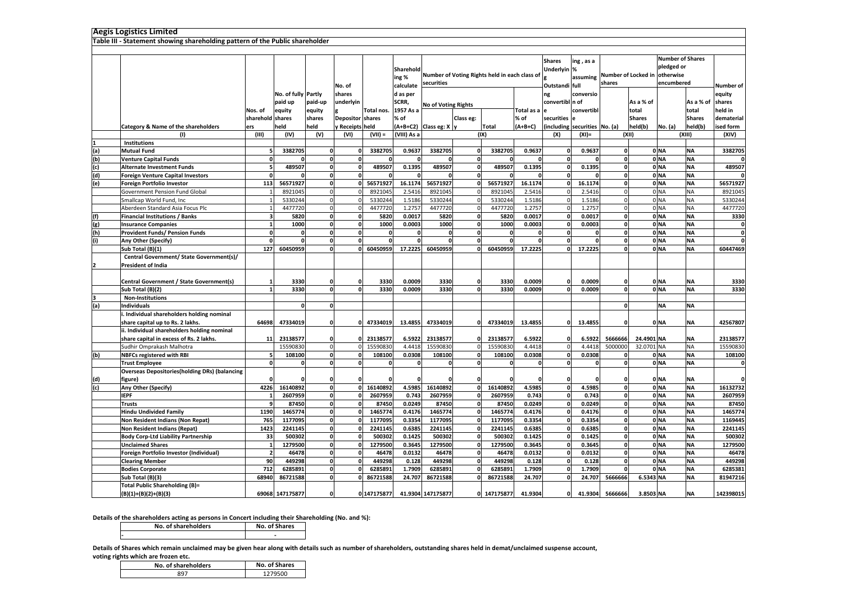|     | Aegis Logistics Limited                                                      |                  |                     |                  |                         |             |             |                        |                                               |                      |            |                 |                               |                     |                  |                 |                   |                    |
|-----|------------------------------------------------------------------------------|------------------|---------------------|------------------|-------------------------|-------------|-------------|------------------------|-----------------------------------------------|----------------------|------------|-----------------|-------------------------------|---------------------|------------------|-----------------|-------------------|--------------------|
|     | Table III - Statement showing shareholding pattern of the Public shareholder |                  |                     |                  |                         |             |             |                        |                                               |                      |            |                 |                               |                     |                  |                 |                   |                    |
|     |                                                                              |                  |                     |                  |                         |             |             |                        |                                               |                      |            |                 |                               |                     |                  |                 |                   |                    |
|     |                                                                              |                  |                     |                  |                         |             |             |                        | <b>Shares</b>                                 | ing, as a            |            |                 | <b>Number of Shares</b>       |                     |                  |                 |                   |                    |
|     |                                                                              | Sharehold        |                     |                  |                         |             |             | Underlyin %            |                                               |                      |            | pledged or      |                               |                     |                  |                 |                   |                    |
|     |                                                                              |                  |                     |                  |                         |             | ing %       |                        | Number of Voting Rights held in each class of |                      |            |                 | assuming                      | Number of Locked in |                  | otherwise       |                   |                    |
|     |                                                                              |                  |                     |                  | No. of                  |             | calculate   | securities             |                                               |                      |            | Outstandi full  |                               | shares              |                  | encumbered      |                   | Number of l        |
|     |                                                                              |                  | No. of fully Partly |                  | shares                  |             | d as per    |                        |                                               |                      |            | ng              | conversio                     |                     |                  |                 |                   | equity             |
|     |                                                                              |                  | paid up             | paid-up          | underlvin               |             | SCRR,       |                        |                                               |                      |            | convertibl n of |                               |                     | As a % of        |                 | As a % of         | shares             |
|     |                                                                              | Nos. of          |                     |                  |                         | Total nos.  | 1957 As a   | No of Voting Rights    |                                               |                      | Total as a |                 | convertibl                    |                     | total            |                 | total             | held in            |
|     |                                                                              | sharehold shares | equity              | equity<br>shares | <b>Depositor</b> shares |             | $%$ of      |                        | Class eg:                                     |                      | % of       | securities e    |                               |                     | <b>Shares</b>    |                 | <b>Shares</b>     | dematerial         |
|     |                                                                              |                  | held                | held             |                         |             |             |                        |                                               |                      |            |                 |                               |                     |                  |                 |                   |                    |
|     | Category & Name of the shareholders<br>(1)                                   | ers<br>(III)     | (IV)                | (V)              | / Receipts held         | $(VII) =$   | (VIII) As a | (A+B+C2) Class eg: X y |                                               | <b>Total</b><br>(IX) | $(A+B+C)$  |                 | (including securities No. (a) |                     | held(b)<br>(XII) | No. (a)         | held(b)<br>(XIII) | ised form<br>(XIV) |
|     | Institutions                                                                 |                  |                     |                  | (VI)                    |             |             |                        |                                               |                      |            | (X)             | $(XI) =$                      |                     |                  |                 |                   |                    |
| (a) | <b>Mutual Fund</b>                                                           |                  | 3382705             | $\mathbf 0$      |                         | 3382705     | 0.9637      | 3382705                | 0                                             | 3382705              | 0.9637     | 0               | 0.9637                        | 0                   |                  | 0 <sub>NA</sub> | <b>NA</b>         | 3382705            |
| (b) | <b>Venture Capital Funds</b>                                                 | 0                | $\Omega$            | $\mathbf 0$      | $\Omega$                |             | $\Omega$    |                        | 0                                             | $\Omega$             | $\Omega$   | $\mathbf 0$     |                               | $\mathbf 0$         |                  | 0 <sub>NA</sub> | <b>NA</b>         |                    |
| (c) | <b>Alternate Investment Funds</b>                                            | F,               | 489507              | $\mathbf 0$      | $\Omega$                | 489507      | 0.1395      | 489507                 | $\mathbf{0}$                                  | 489507               | 0.1395     | $\mathbf 0$     | 0.1395                        | $\mathbf{o}$        |                  | 0 <sub>NA</sub> | <b>NA</b>         | 489507             |
| (d) | <b>Foreign Venture Capital Investors</b>                                     | $\Omega$         |                     | $\mathbf 0$      |                         |             |             |                        | 0                                             |                      |            | $\mathbf 0$     |                               | 0                   |                  | 0 <sub>NA</sub> | <b>NA</b>         |                    |
| (e) | Foreign Portfolio Investor                                                   | 113              | 56571927            | $\mathbf 0$      |                         | 56571927    | 16.1174     | 56571927               | 0                                             | 56571927             | 16.1174    | $\mathbf{o}$    | 16.1174                       | $\mathbf 0$         |                  | 0 <sub>NA</sub> | <b>NA</b>         | 56571927           |
|     | Government Pension Fund Global                                               |                  | 8921045             | $\Omega$         |                         | 8921045     | 2.5416      | 8921045                |                                               | 8921045              | 2.5416     | $\Omega$        | 2.5416                        |                     |                  | 0 <sub>NA</sub> | <b>NA</b>         | 8921045            |
|     | Smallcap World Fund, Inc                                                     |                  | 5330244             | $\Omega$         |                         | 5330244     | 1.5186      | 5330244                | $\mathbf{0}$                                  | 5330244              | 1.5186     | $\Omega$        | 1.5186                        | $\Omega$            |                  | 0 <sub>NA</sub> | <b>NA</b>         | 5330244            |
|     | Aberdeen Standard Asia Focus Plc                                             |                  | 4477720             | $\Omega$         |                         | 4477720     | 1.2757      | 4477720                | $\Omega$                                      | 4477720              | 1.2757     | $\Omega$        | 1.2757                        | $\Omega$            |                  | 0 <sub>NA</sub> | <b>NA</b>         | 4477720            |
| (f) | <b>Financial Institutions / Banks</b>                                        |                  | 5820                | $\mathbf 0$      | $\Omega$                | 5820        | 0.0017      | 5820                   | <sub>0</sub>                                  | 5820                 | 0.0017     | $\mathbf 0$     | 0.0017                        | $\mathbf 0$         |                  | 0 <sub>NA</sub> | <b>NA</b>         | 3330               |
| (g) | <b>Insurance Companies</b>                                                   |                  | 1000                | $\Omega$         | $\Omega$                | 1000        | 0.0003      | 1000                   | 0                                             | 1000                 | 0.0003     | 0               | 0.0003                        | 0                   |                  | 0 <sub>NA</sub> | <b>NA</b>         | 0                  |
| (h) | <b>Provident Funds/ Pension Funds</b>                                        | $\Omega$         |                     | $\mathbf 0$      |                         |             | 0           | $\mathbf 0$            | ol                                            | 0                    |            | $\mathbf 0$     |                               | 0                   |                  | 0 <sub>NA</sub> | <b>NA</b>         | O                  |
| (i) | Any Other (Specify)                                                          | $\Omega$         | $\Omega$            | $\Omega$         | $\Omega$                |             | $\Omega$    | $\Omega$               | 0                                             | $\Omega$             | $\Omega$   | $\mathbf 0$     |                               | $\mathbf 0$         |                  | 0 NA            | <b>NA</b>         | $\mathbf{0}$       |
|     | Sub Total (B)(1)                                                             | 127              | 60450959            | $\Omega$         |                         | 60450959    | 17.2225     | 60450959               | 0                                             | 60450959             | 17.2225    | $\mathbf{0}$    | 17.2225                       | $\Omega$            |                  | 0 NA            | <b>NA</b>         | 60447469           |
|     | Central Government/ State Government(s)/                                     |                  |                     |                  |                         |             |             |                        |                                               |                      |            |                 |                               |                     |                  |                 |                   |                    |
|     | President of India                                                           |                  |                     |                  |                         |             |             |                        |                                               |                      |            |                 |                               |                     |                  |                 |                   |                    |
|     |                                                                              |                  |                     |                  |                         |             |             |                        |                                               |                      |            |                 |                               |                     |                  |                 |                   |                    |
|     | Central Government / State Government(s)                                     |                  | 3330                | $\Omega$         |                         | 3330        | 0.0009      | 3330                   |                                               | 3330                 | 0.0009     | $\mathbf{0}$    | 0.0009                        |                     |                  | 0 NA            | <b>NA</b>         | 3330               |
|     | Sub Total (B)(2)                                                             |                  | 3330                | $\Omega$         |                         | 3330        | 0.0009      | 3330                   |                                               | 3330                 | 0.0009     |                 | 0.0009                        | 0                   |                  | 0 <sub>NA</sub> | <b>NA</b>         | 3330               |
|     | <b>Non-Institutions</b>                                                      |                  |                     |                  |                         |             |             |                        |                                               |                      |            |                 |                               |                     |                  |                 |                   |                    |
| (a) | <b>Individuals</b>                                                           |                  | $\Omega$            | $\mathbf 0$      |                         |             |             |                        |                                               |                      |            |                 |                               | $\mathbf{0}$        |                  | ΝA              | <b>NA</b>         |                    |
|     | i. Individual shareholders holding nominal                                   |                  |                     |                  |                         |             |             |                        |                                               |                      |            |                 |                               |                     |                  |                 |                   |                    |
|     | share capital up to Rs. 2 lakhs.                                             | 64698            | 47334019            | $\mathbf 0$      |                         | 47334019    | 13.4855     | 47334019               |                                               | 47334019             | 13.4855    | 0               | 13.4855                       | $\mathbf 0$         |                  | 0 NA            | <b>NA</b>         | 42567807           |
|     | ii. Individual shareholders holding nominal                                  |                  |                     |                  |                         |             |             |                        |                                               |                      |            |                 |                               |                     |                  |                 |                   |                    |
|     | share capital in excess of Rs. 2 lakhs.                                      | 11               | 23138577            | $\mathbf{0}$     |                         | 2313857     | 6.5922      | 23138577               |                                               | 23138577             | 6.5922     | $\mathbf 0$     | 6.5922                        | 5666666             | 24.4901 NA       |                 | <b>NA</b>         | 23138577           |
|     | Sudhir Omprakash Malhotra                                                    |                  | 15590830            | $\Omega$         |                         | 15590830    | 4.4418      | 15590830               | $\Omega$                                      | 15590830             | 4.4418     | $\Omega$        | 4.4418                        | 5000000             | 32.0701 NA       |                 | <b>NA</b>         | 15590830           |
| (b) | <b>NBFCs registered with RBI</b>                                             | s                | 108100              | $\mathbf 0$      |                         | 108100      | 0.0308      | 108100                 | <sub>0</sub>                                  | 108100               | 0.0308     | $\mathbf 0$     | 0.0308                        |                     |                  | 0 <sub>NA</sub> | <b>NA</b>         | 108100             |
|     | <b>Trust Employee</b>                                                        | $\Omega$         | n                   | $\mathbf{0}$     |                         |             | 0           | 0                      | 0                                             | 0                    | n          | $\mathbf{0}$    |                               | $\mathbf{0}$        |                  | 0 <sub>NA</sub> | <b>NA</b>         | 0                  |
|     | <b>Overseas Depositories(holding DRs) (balancing</b>                         |                  |                     |                  |                         |             |             |                        |                                               |                      |            |                 |                               |                     |                  |                 |                   |                    |
| (d) | figure)                                                                      |                  |                     | 0                |                         |             | 0           |                        |                                               |                      |            | 0               |                               | 0                   |                  | 0 NA            | <b>NA</b>         | $\mathbf{0}$       |
| (c) | Any Other (Specify)                                                          | 4226             | 16140892            | $\Omega$         |                         | 16140892    | 4.5985      | 16140892               | 0                                             | 16140892             | 4.5985     | $\mathbf 0$     | 4.5985                        | $\mathbf 0$         |                  | 0 <sub>NA</sub> | <b>NA</b>         | 16132732           |
|     | <b>IEPF</b>                                                                  | $\mathbf{1}$     | 2607959             | $\mathbf{0}$     | $\Omega$                | 2607959     | 0.743       | 2607959                | O                                             | 2607959              | 0.743      | $\mathbf{0}$    | 0.743                         | $\mathbf{0}$        |                  | 0 <sub>NA</sub> | <b>NA</b>         | 2607959            |
|     | Trusts                                                                       | <b>C</b>         | 87450               | $\mathbf 0$      | $\Omega$                | 87450       | 0.0249      | 87450                  | 0                                             | 87450                | 0.0249     | $\mathbf 0$     | 0.0249                        | 0                   |                  | 0 <sub>NA</sub> | <b>NA</b>         | 87450              |
|     | Hindu Undivided Family                                                       | 1190             | 1465774             | $\mathbf 0$      |                         | 1465774     | 0.4176      | 1465774                | 0                                             | 1465774              | 0.4176     | $\mathbf 0$     | 0.4176                        | 0                   |                  | 0 <sub>NA</sub> | <b>NA</b>         | 1465774            |
|     | Non Resident Indians (Non Repat)                                             | 765              | 1177095             | $\Omega$         |                         | 1177095     | 0.3354      | 1177095                | o                                             | 1177095              | 0.3354     | $\mathbf{0}$    | 0.3354                        | 0                   |                  | 0 <sub>NA</sub> | <b>NA</b>         | 1169445            |
|     | Non Resident Indians (Repat)                                                 | 1423             | 2241145             | $\mathbf 0$      |                         | 2241145     | 0.6385      | 2241145                | 0                                             | 2241145              | 0.6385     | $\mathbf 0$     | 0.638                         | 0                   |                  | 0 <sub>NA</sub> | <b>NA</b>         | 2241145            |
|     | <b>Body Corp-Ltd Liability Partnership</b>                                   | 33               | 500302              | $\mathbf{0}$     |                         | 500302      | 0.1425      | 500302                 | o                                             | 500302               | 0.1425     | $\mathbf 0$     | 0.1425                        | $\mathbf{o}$        |                  | 0 <sub>NA</sub> | <b>NA</b>         | 500302             |
|     | <b>Unclaimed Shares</b>                                                      | $\overline{1}$   | 1279500             | $\mathbf 0$      | n                       | 1279500     | 0.3645      | 1279500                | $\mathbf{0}$                                  | 1279500              | 0.3645     | $\mathbf 0$     | 0.3645                        | $\mathbf{o}$        |                  | 0 <sub>NA</sub> | <b>NA</b>         | 1279500            |
|     | Foreign Portfolio Investor (Individual)                                      |                  | 46478               | $\mathbf 0$      |                         | 46478       | 0.0132      | 46478                  | $\mathbf{0}$                                  | 46478                | 0.0132     | $\mathbf 0$     | 0.0132                        | 0                   |                  | 0 <sub>NA</sub> | <b>NA</b>         | 46478              |
|     | <b>Clearing Member</b>                                                       | 90               | 449298              | $\mathbf{o}$     | $\Omega$                | 449298      | 0.128       | 449298                 | $\mathbf{0}$                                  | 449298               | 0.128      | $\mathbf 0$     | 0.128                         | $\mathbf 0$         |                  | 0 <sub>NA</sub> | <b>NA</b>         | 449298             |
|     | <b>Bodies Corporate</b>                                                      | 712              | 6285891             | $\mathbf 0$      |                         | 6285891     | 1.7909      | 6285891                | 0                                             | 6285891              | 1.7909     | $\mathbf{0}$    | 1.7909                        |                     |                  | 0 <sub>NA</sub> | <b>NA</b>         | 6285381            |
|     | Sub Total (B)(3)                                                             | 68940            | 86721588            | $\Omega$         |                         | 86721588    | 24.707      | 86721588               | 0                                             | 86721588             | 24.707     | $\mathbf 0$     | 24.707                        | 5666666             | 6.5343 NA        |                 | <b>NA</b>         | 81947216           |
|     | <b>Total Public Shareholding (B)=</b>                                        |                  |                     |                  |                         |             |             |                        |                                               |                      |            |                 |                               |                     |                  |                 |                   |                    |
|     | $(B)(1)+(B)(2)+(B)(3)$                                                       |                  | 69068 147175877     | $\mathbf 0$      |                         | 0 147175877 |             | 41.9304 147175877      |                                               | 147175877            | 41.9304    | $\mathbf 0$     | 41.9304                       | 5666666             | 3.8503 NA        |                 | <b>NA</b>         | 142398015          |
|     |                                                                              |                  |                     |                  |                         |             |             |                        |                                               |                      |            |                 |                               |                     |                  |                 |                   |                    |

## **Details of the shareholders acting as persons in Concert including their Shareholding (No. and %):**

**-**

**No. of SharesNo. of shareholders**

**Details of Shares which remain unclaimed may be given hear along with details such as number of shareholders, outstanding shares held in demat/unclaimed suspense account,** 

**voting rights which are frozen etc.**

| No. of shareholders | <b>No. of Shares</b> |
|---------------------|----------------------|
| 897                 | 1279500              |